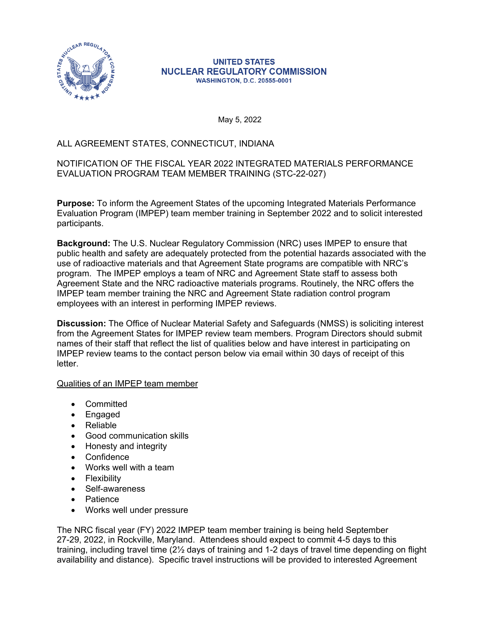

#### **UNITED STATES NUCLEAR REGULATORY COMMISSION WASHINGTON, D.C. 20555-0001**

May 5, 2022

# ALL AGREEMENT STATES, CONNECTICUT, INDIANA

## NOTIFICATION OF THE FISCAL YEAR 2022 INTEGRATED MATERIALS PERFORMANCE EVALUATION PROGRAM TEAM MEMBER TRAINING (STC-22-027)

**Purpose:** To inform the Agreement States of the upcoming Integrated Materials Performance Evaluation Program (IMPEP) team member training in September 2022 and to solicit interested participants.

**Background:** The U.S. Nuclear Regulatory Commission (NRC) uses IMPEP to ensure that public health and safety are adequately protected from the potential hazards associated with the use of radioactive materials and that Agreement State programs are compatible with NRC's program. The IMPEP employs a team of NRC and Agreement State staff to assess both Agreement State and the NRC radioactive materials programs. Routinely, the NRC offers the IMPEP team member training the NRC and Agreement State radiation control program employees with an interest in performing IMPEP reviews.

**Discussion:** The Office of Nuclear Material Safety and Safeguards (NMSS) is soliciting interest from the Agreement States for IMPEP review team members. Program Directors should submit names of their staff that reflect the list of qualities below and have interest in participating on IMPEP review teams to the contact person below via email within 30 days of receipt of this letter.

### Qualities of an IMPEP team member

- Committed
- Engaged
- Reliable
- Good communication skills
- Honesty and integrity
- Confidence
- Works well with a team
- Flexibility
- Self-awareness
- Patience
- Works well under pressure

The NRC fiscal year (FY) 2022 IMPEP team member training is being held September 27-29, 2022, in Rockville, Maryland. Attendees should expect to commit 4-5 days to this training, including travel time (2½ days of training and 1-2 days of travel time depending on flight availability and distance). Specific travel instructions will be provided to interested Agreement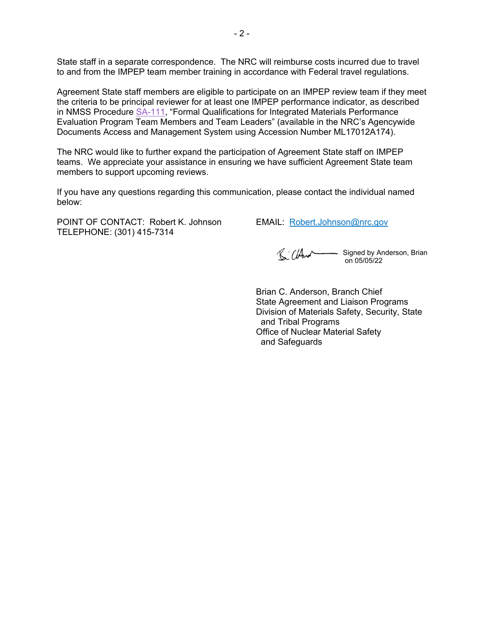State staff in a separate correspondence. The NRC will reimburse costs incurred due to travel to and from the IMPEP team member training in accordance with Federal travel regulations.

Agreement State staff members are eligible to participate on an IMPEP review team if they meet the criteria to be principal reviewer for at least one IMPEP performance indicator, as described in NMSS Procedure [SA-111,](https://www.nrc.gov/docs/ML1701/ML17012A174.pdf) "Formal Qualifications for Integrated Materials Performance Evaluation Program Team Members and Team Leaders" (available in the NRC's Agencywide Documents Access and Management System using Accession Number ML17012A174).

The NRC would like to further expand the participation of Agreement State staff on IMPEP teams. We appreciate your assistance in ensuring we have sufficient Agreement State team members to support upcoming reviews.

If you have any questions regarding this communication, please contact the individual named below:

POINT OF CONTACT: Robert K. Johnson EMAIL: [Robert.Johnson@nrc.gov](mailto:Robert.Johnson@nrc.gov) TELEPHONE: (301) 415-7314

Signed by Anderson, Brian on 05/05/22

Brian C. Anderson, Branch Chief State Agreement and Liaison Programs Division of Materials Safety, Security, State and Tribal Programs Office of Nuclear Material Safety and Safeguards